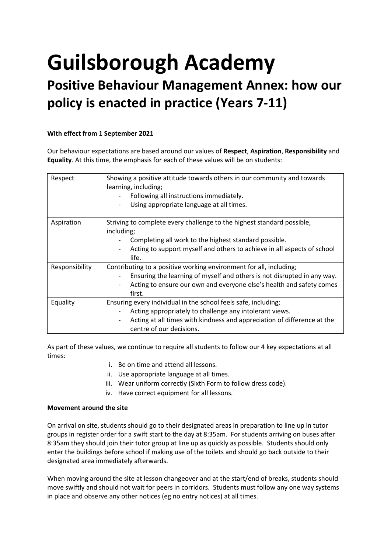# **Guilsborough Academy**

# **Positive Behaviour Management Annex: how our policy is enacted in practice (Years 7-11)**

# **With effect from 1 September 2021**

Our behaviour expectations are based around our values of **Respect**, **Aspiration**, **Responsibility** and **Equality**. At this time, the emphasis for each of these values will be on students:

| Respect        | Showing a positive attitude towards others in our community and towards<br>learning, including;<br>Following all instructions immediately.<br>Using appropriate language at all times.                                                                        |
|----------------|---------------------------------------------------------------------------------------------------------------------------------------------------------------------------------------------------------------------------------------------------------------|
| Aspiration     | Striving to complete every challenge to the highest standard possible,<br>including;<br>Completing all work to the highest standard possible.<br>Acting to support myself and others to achieve in all aspects of school<br>$\overline{\phantom{a}}$<br>life. |
| Responsibility | Contributing to a positive working environment for all, including;<br>Ensuring the learning of myself and others is not disrupted in any way.<br>Acting to ensure our own and everyone else's health and safety comes<br>first.                               |
| Equality       | Ensuring every individual in the school feels safe, including;<br>Acting appropriately to challenge any intolerant views.<br>Acting at all times with kindness and appreciation of difference at the<br>-<br>centre of our decisions.                         |

As part of these values, we continue to require all students to follow our 4 key expectations at all times:

- i. Be on time and attend all lessons.
- ii. Use appropriate language at all times.
- iii. Wear uniform correctly (Sixth Form to follow dress code).
- iv. Have correct equipment for all lessons.

# **Movement around the site**

On arrival on site, students should go to their designated areas in preparation to line up in tutor groups in register order for a swift start to the day at 8:35am. For students arriving on buses after 8:35am they should join their tutor group at line up as quickly as possible. Students should only enter the buildings before school if making use of the toilets and should go back outside to their designated area immediately afterwards.

When moving around the site at lesson changeover and at the start/end of breaks, students should move swiftly and should not wait for peers in corridors. Students must follow any one way systems in place and observe any other notices (eg no entry notices) at all times.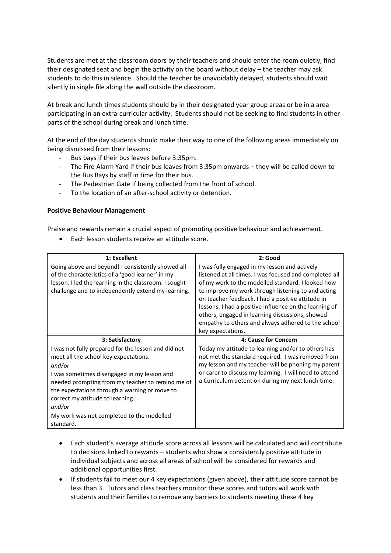Students are met at the classroom doors by their teachers and should enter the room quietly, find their designated seat and begin the activity on the board without delay – the teacher may ask students to do this in silence. Should the teacher be unavoidably delayed, students should wait silently in single file along the wall outside the classroom.

At break and lunch times students should by in their designated year group areas or be in a area participating in an extra-curricular activity. Students should not be seeking to find students in other parts of the school during break and lunch time.

At the end of the day students should make their way to one of the following areas immediately on being dismissed from their lessons:

- Bus bays if their bus leaves before 3:35pm.
- The Fire Alarm Yard if their bus leaves from 3:35pm onwards they will be called down to the Bus Bays by staff in time for their bus.
- The Pedestrian Gate if being collected from the front of school.
- To the location of an after-school activity or detention.

#### **Positive Behaviour Management**

Praise and rewards remain a crucial aspect of promoting positive behaviour and achievement.

• Each lesson students receive an attitude score.

| 1: Excellent                                          | 2: Good                                                |
|-------------------------------------------------------|--------------------------------------------------------|
| Going above and beyond! I consistently showed all     | I was fully engaged in my lesson and actively          |
| of the characteristics of a 'good learner' in my      | listened at all times. I was focused and completed all |
| lesson. I led the learning in the classroom. I sought | of my work to the modelled standard. I looked how      |
| challenge and to independently extend my learning.    | to improve my work through listening to and acting     |
|                                                       | on teacher feedback. I had a positive attitude in      |
|                                                       | lessons. I had a positive influence on the learning of |
|                                                       | others, engaged in learning discussions, showed        |
|                                                       | empathy to others and always adhered to the school     |
|                                                       | key expectations.                                      |
| 3: Satisfactory                                       | 4: Cause for Concern                                   |
| I was not fully prepared for the lesson and did not   | Today my attitude to learning and/or to others has     |
| meet all the school key expectations.                 | not met the standard required. I was removed from      |
| and/or                                                | my lesson and my teacher will be phoning my parent     |
| I was sometimes disengaged in my lesson and           | or carer to discuss my learning. I will need to attend |
| needed prompting from my teacher to remind me of      | a Curriculum detention during my next lunch time.      |
| the expectations through a warning or move to         |                                                        |
| correct my attitude to learning.                      |                                                        |
| and/or                                                |                                                        |
| My work was not completed to the modelled             |                                                        |
| standard.                                             |                                                        |

- Each student's average attitude score across all lessons will be calculated and will contribute to decisions linked to rewards – students who show a consistently positive attitude in individual subjects and across all areas of school will be considered for rewards and additional opportunities first.
- If students fail to meet our 4 key expectations (given above), their attitude score cannot be less than 3. Tutors and class teachers monitor these scores and tutors will work with students and their families to remove any barriers to students meeting these 4 key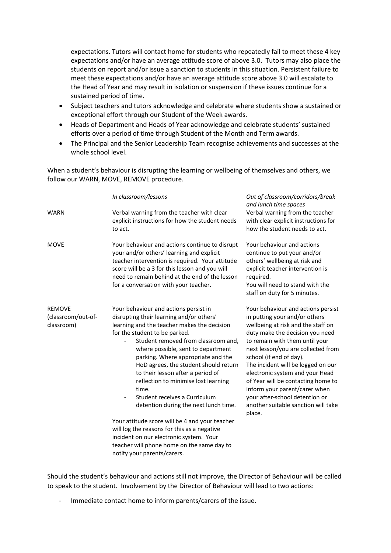expectations. Tutors will contact home for students who repeatedly fail to meet these 4 key expectations and/or have an average attitude score of above 3.0. Tutors may also place the students on report and/or issue a sanction to students in this situation. Persistent failure to meet these expectations and/or have an average attitude score above 3.0 will escalate to the Head of Year and may result in isolation or suspension if these issues continue for a sustained period of time.

- Subject teachers and tutors acknowledge and celebrate where students show a sustained or exceptional effort through our Student of the Week awards.
- Heads of Department and Heads of Year acknowledge and celebrate students' sustained efforts over a period of time through Student of the Month and Term awards.
- The Principal and the Senior Leadership Team recognise achievements and successes at the whole school level.

When a student's behaviour is disrupting the learning or wellbeing of themselves and others, we follow our WARN, MOVE, REMOVE procedure.

|                                                   | In classroom/lessons                                                                                                                                                                                                                                                                                                                                                                                                                                                                          | Out of classroom/corridors/break<br>and lunch time spaces                                                                                                                                                                                                                                                                                                                                                                                                                          |
|---------------------------------------------------|-----------------------------------------------------------------------------------------------------------------------------------------------------------------------------------------------------------------------------------------------------------------------------------------------------------------------------------------------------------------------------------------------------------------------------------------------------------------------------------------------|------------------------------------------------------------------------------------------------------------------------------------------------------------------------------------------------------------------------------------------------------------------------------------------------------------------------------------------------------------------------------------------------------------------------------------------------------------------------------------|
| <b>WARN</b>                                       | Verbal warning from the teacher with clear<br>explicit instructions for how the student needs<br>to act.                                                                                                                                                                                                                                                                                                                                                                                      | Verbal warning from the teacher<br>with clear explicit instructions for<br>how the student needs to act.                                                                                                                                                                                                                                                                                                                                                                           |
| <b>MOVE</b>                                       | Your behaviour and actions continue to disrupt<br>your and/or others' learning and explicit<br>teacher intervention is required. Your attitude<br>score will be a 3 for this lesson and you will<br>need to remain behind at the end of the lesson<br>for a conversation with your teacher.                                                                                                                                                                                                   | Your behaviour and actions<br>continue to put your and/or<br>others' wellbeing at risk and<br>explicit teacher intervention is<br>required.<br>You will need to stand with the<br>staff on duty for 5 minutes.                                                                                                                                                                                                                                                                     |
| <b>REMOVE</b><br>(classroom/out-of-<br>classroom) | Your behaviour and actions persist in<br>disrupting their learning and/or others'<br>learning and the teacher makes the decision<br>for the student to be parked.<br>Student removed from classroom and,<br>where possible, sent to department<br>parking. Where appropriate and the<br>HoD agrees, the student should return<br>to their lesson after a period of<br>reflection to minimise lost learning<br>time.<br>Student receives a Curriculum<br>detention during the next lunch time. | Your behaviour and actions persist<br>in putting your and/or others<br>wellbeing at risk and the staff on<br>duty make the decision you need<br>to remain with them until your<br>next lesson/you are collected from<br>school (if end of day).<br>The incident will be logged on our<br>electronic system and your Head<br>of Year will be contacting home to<br>inform your parent/carer when<br>your after-school detention or<br>another suitable sanction will take<br>place. |
|                                                   | Your attitude score will be 4 and your teacher<br>will log the reasons for this as a negative<br>incident on our electronic system. Your<br>teacher will phone home on the same day to<br>notify your parents/carers.                                                                                                                                                                                                                                                                         |                                                                                                                                                                                                                                                                                                                                                                                                                                                                                    |

Should the student's behaviour and actions still not improve, the Director of Behaviour will be called to speak to the student. Involvement by the Director of Behaviour will lead to two actions:

Immediate contact home to inform parents/carers of the issue.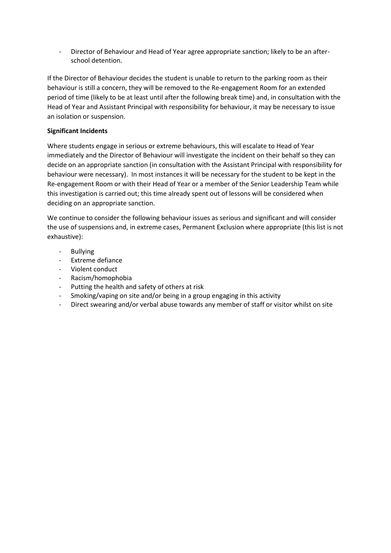- Director of Behaviour and Head of Year agree appropriate sanction; likely to be an afterschool detention.

If the Director of Behaviour decides the student is unable to return to the parking room as their behaviour is still a concern, they will be removed to the Re-engagement Room for an extended period of time (likely to be at least until after the following break time) and, in consultation with the Head of Year and Assistant Principal with responsibility for behaviour, it may be necessary to issue an isolation or suspension.

# **Significant Incidents**

Where students engage in serious or extreme behaviours, this will escalate to Head of Year immediately and the Director of Behaviour will investigate the incident on their behalf so they can decide on an appropriate sanction (in consultation with the Assistant Principal with responsibility for behaviour were necessary). In most instances it will be necessary for the student to be kept in the Re-engagement Room or with their Head of Year or a member of the Senior Leadership Team while this investigation is carried out; this time already spent out of lessons will be considered when deciding on an appropriate sanction.

We continue to consider the following behaviour issues as serious and significant and will consider the use of suspensions and, in extreme cases, Permanent Exclusion where appropriate (this list is not exhaustive):

- Bullying
- Extreme defiance
- Violent conduct
- Racism/homophobia
- Putting the health and safety of others at risk
- Smoking/vaping on site and/or being in a group engaging in this activity
- Direct swearing and/or verbal abuse towards any member of staff or visitor whilst on site